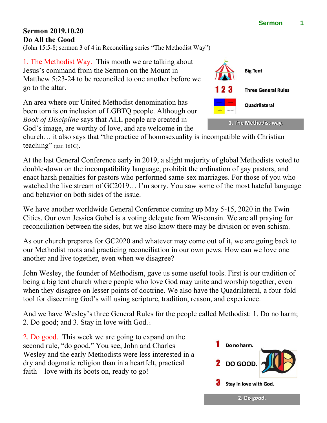## **Sermon 2019.10.20 Do All the Good**

(John 15:5-8; sermon 3 of 4 in Reconciling series "The Methodist Way")

1. The Methodist Way. This month we are talking about Jesus's command from the Sermon on the Mount in Matthew 5:23-24 to be reconciled to one another before we go to the altar.

An area where our United Methodist denomination has been torn is on inclusion of LGBTQ people. Although our *Book of Discipline* says that ALL people are created in God's image, are worthy of love, and are welcome in the

church… it also says that "the practice of homosexuality is incompatible with Christian teaching" (par. 161G).

At the last General Conference early in 2019, a slight majority of global Methodists voted to double-down on the incompatibility language, prohibit the ordination of gay pastors, and enact harsh penalties for pastors who performed same-sex marriages. For those of you who watched the live stream of GC2019… I'm sorry. You saw some of the most hateful language and behavior on both sides of the issue.

We have another worldwide General Conference coming up May 5-15, 2020 in the Twin Cities. Our own Jessica Gobel is a voting delegate from Wisconsin. We are all praying for reconciliation between the sides, but we also know there may be division or even schism.

As our church prepares for GC2020 and whatever may come out of it, we are going back to our Methodist roots and practicing reconciliation in our own pews. How can we love one another and live together, even when we disagree?

John Wesley, the founder of Methodism, gave us some useful tools. First is our tradition of being a big tent church where people who love God may unite and worship together, even when they disagree on lesser points of doctrine. We also have the Quadrilateral, a four-fold tool for discerning God's will using scripture, tradition, reason, and experience.

And we have Wesley's three General Rules for the people called Methodist: 1. Do no harm; 2. Do good; and 3. Stay in love with God. <sup>i</sup>

2. Do good. This week we are going to expand on the second rule, "do good." You see, John and Charles Wesley and the early Methodists were less interested in a dry and dogmatic religion than in a heartfelt, practical faith – love with its boots on, ready to go!



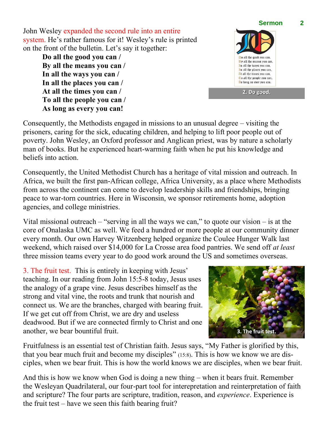John Wesley expanded the second rule into an entire system. He's rather famous for it! Wesley's rule is printed on the front of the bulletin. Let's say it together:

**Do all the good you can / By all the means you can / In all the ways you can / In all the places you can / At all the times you can / To all the people you can / As long as every you can!**



Consequently, the Methodists engaged in missions to an unusual degree – visiting the prisoners, caring for the sick, educating children, and helping to lift poor people out of poverty. John Wesley, an Oxford professor and Anglican priest, was by nature a scholarly man of books. But he experienced heart-warming faith when he put his knowledge and beliefs into action.

Consequently, the United Methodist Church has a heritage of vital mission and outreach. In Africa, we built the first pan-African college, Africa University, as a place where Methodists from across the continent can come to develop leadership skills and friendships, bringing peace to war-torn countries. Here in Wisconsin, we sponsor retirements home, adoption agencies, and college ministries.

Vital missional outreach – "serving in all the ways we can," to quote our vision – is at the core of Onalaska UMC as well. We feed a hundred or more people at our community dinner every month. Our own Harvey Witzenberg helped organize the Coulee Hunger Walk last weekend, which raised over \$14,000 for La Crosse area food pantries. We send off *at least* three mission teams every year to do good work around the US and sometimes overseas.

3. The fruit test. This is entirely in keeping with Jesus' teaching. In our reading from John 15:5-8 today, Jesus uses the analogy of a grape vine. Jesus describes himself as the strong and vital vine, the roots and trunk that nourish and connect us. We are the branches, charged with bearing fruit. If we get cut off from Christ, we are dry and useless deadwood. But if we are connected firmly to Christ and one another, we bear bountiful fruit.



Fruitfulness is an essential test of Christian faith. Jesus says, "My Father is glorified by this, that you bear much fruit and become my disciples" (15:8). This is how we know we are disciples, when we bear fruit. This is how the world knows we are disciples, when we bear fruit.

And this is how we know when God is doing a new thing – when it bears fruit. Remember the Wesleyan Quadrilateral, our four-part tool for interepretation and reinterpretation of faith and scripture? The four parts are scripture, tradition, reason, and *experience*. Experience is the fruit test – have we seen this faith bearing fruit?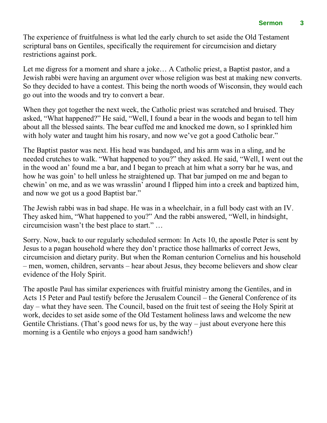The experience of fruitfulness is what led the early church to set aside the Old Testament scriptural bans on Gentiles, specifically the requirement for circumcision and dietary restrictions against pork.

Let me digress for a moment and share a joke… A Catholic priest, a Baptist pastor, and a Jewish rabbi were having an argument over whose religion was best at making new converts. So they decided to have a contest. This being the north woods of Wisconsin, they would each go out into the woods and try to convert a bear.

When they got together the next week, the Catholic priest was scratched and bruised. They asked, "What happened?" He said, "Well, I found a bear in the woods and began to tell him about all the blessed saints. The bear cuffed me and knocked me down, so I sprinkled him with holy water and taught him his rosary, and now we've got a good Catholic bear."

The Baptist pastor was next. His head was bandaged, and his arm was in a sling, and he needed crutches to walk. "What happened to you?" they asked. He said, "Well, I went out the in the wood an' found me a bar, and I began to preach at him what a sorry bar he was, and how he was goin' to hell unless he straightened up. That bar jumped on me and began to chewin' on me, and as we was wrasslin' around I flipped him into a creek and baptized him, and now we got us a good Baptist bar."

The Jewish rabbi was in bad shape. He was in a wheelchair, in a full body cast with an IV. They asked him, "What happened to you?" And the rabbi answered, "Well, in hindsight, circumcision wasn't the best place to start." …

Sorry. Now, back to our regularly scheduled sermon: In Acts 10, the apostle Peter is sent by Jesus to a pagan household where they don't practice those hallmarks of correct Jews, circumcision and dietary purity. But when the Roman centurion Cornelius and his household – men, women, children, servants – hear about Jesus, they become believers and show clear evidence of the Holy Spirit.

The apostle Paul has similar experiences with fruitful ministry among the Gentiles, and in Acts 15 Peter and Paul testify before the Jerusalem Council – the General Conference of its day – what they have seen. The Council, based on the fruit test of seeing the Holy Spirit at work, decides to set aside some of the Old Testament holiness laws and welcome the new Gentile Christians. (That's good news for us, by the way  $-$  just about everyone here this morning is a Gentile who enjoys a good ham sandwich!)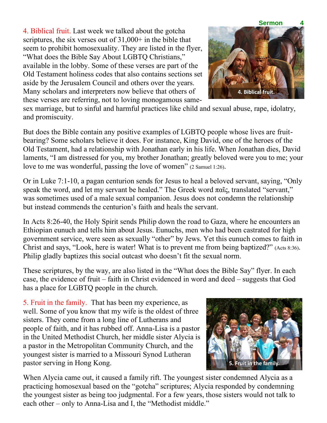4. Biblical fruit. Last week we talked about the gotcha scriptures, the six verses out of  $31,000+$  in the bible that seem to prohibit homosexuality. They are listed in the flyer, "What does the Bible Say About LGBTQ Christians," available in the lobby. Some of these verses are part of the Old Testament holiness codes that also contains sections set aside by the Jerusalem Council and others over the years. Many scholars and interpreters now believe that others of these verses are referring, not to loving monogamous same-



sex marriage, but to sinful and harmful practices like child and sexual abuse, rape, idolatry, and promiscuity.

But does the Bible contain any positive examples of LGBTQ people whose lives are fruitbearing? Some scholars believe it does. For instance, King David, one of the heroes of the Old Testament, had a relationship with Jonathan early in his life. When Jonathan dies, David laments, "I am distressed for you, my brother Jonathan; greatly beloved were you to me; your love to me was wonderful, passing the love of women" (2 Samuel 1:26).

Or in Luke 7:1-10, a pagan centurion sends for Jesus to heal a beloved servant, saying, "Only speak the word, and let my servant be healed." The Greek word  $\pi\alpha\tilde{\iota}$ , translated "servant," was sometimes used of a male sexual companion. Jesus does not condemn the relationship but instead commends the centurion's faith and heals the servant.

In Acts 8:26-40, the Holy Spirit sends Philip down the road to Gaza, where he encounters an Ethiopian eunuch and tells him about Jesus. Eunuchs, men who had been castrated for high government service, were seen as sexually "other" by Jews. Yet this eunuch comes to faith in Christ and says, "Look, here is water! What is to prevent me from being baptized?" (Acts 8:36). Philip gladly baptizes this social outcast who doesn't fit the sexual norm.

These scriptures, by the way, are also listed in the "What does the Bible Say" flyer. In each case, the evidence of fruit – faith in Christ evidenced in word and deed – suggests that God has a place for LGBTQ people in the church.

5. Fruit in the family. That has been my experience, as well. Some of you know that my wife is the oldest of three sisters. They come from a long line of Lutherans and people of faith, and it has rubbed off. Anna-Lisa is a pastor in the United Methodist Church, her middle sister Alycia is a pastor in the Metropolitan Community Church, and the youngest sister is married to a Missouri Synod Lutheran pastor serving in Hong Kong.



When Alycia came out, it caused a family rift. The youngest sister condemned Alycia as a practicing homosexual based on the "gotcha" scriptures; Alycia responded by condemning the youngest sister as being too judgmental. For a few years, those sisters would not talk to each other – only to Anna-Lisa and I, the "Methodist middle."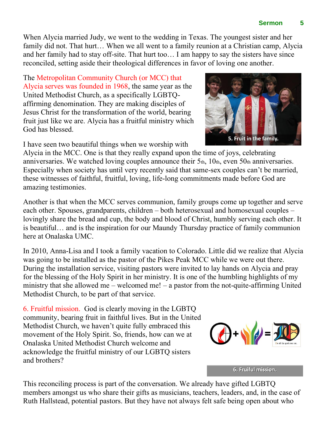When Alycia married Judy, we went to the wedding in Texas. The youngest sister and her family did not. That hurt… When we all went to a family reunion at a Christian camp, Alycia and her family had to stay off-site. That hurt too… I am happy to say the sisters have since reconciled, setting aside their theological differences in favor of loving one another.

The Metropolitan Community Church (or MCC) that Alycia serves was founded in 1968, the same year as the United Methodist Church, as a specifically LGBTQaffirming denomination. They are making disciples of Jesus Christ for the transformation of the world, bearing fruit just like we are. Alycia has a fruitful ministry which God has blessed.

I have seen two beautiful things when we worship with

Alycia in the MCC. One is that they really expand upon the time of joys, celebrating anniversaries. We watched loving couples announce their  $5<sub>th</sub>$ ,  $10<sub>th</sub>$ , even  $50<sub>th</sub>$  anniversaries. Especially when society has until very recently said that same-sex couples can't be married, these witnesses of faithful, fruitful, loving, life-long commitments made before God are amazing testimonies.

Another is that when the MCC serves communion, family groups come up together and serve each other. Spouses, grandparents, children – both heterosexual and homosexual couples – lovingly share the bread and cup, the body and blood of Christ, humbly serving each other. It is beautiful… and is the inspiration for our Maundy Thursday practice of family communion here at Onalaska UMC.

In 2010, Anna-Lisa and I took a family vacation to Colorado. Little did we realize that Alycia was going to be installed as the pastor of the Pikes Peak MCC while we were out there. During the installation service, visiting pastors were invited to lay hands on Alycia and pray for the blessing of the Holy Spirit in her ministry. It is one of the humbling highlights of my ministry that she allowed me – welcomed me! – a pastor from the not-quite-affirming United Methodist Church, to be part of that service.

6. Fruitful mission. God is clearly moving in the LGBTQ community, bearing fruit in faithful lives. But in the United Methodist Church, we haven't quite fully embraced this movement of the Holy Spirit. So, friends, how can we at Onalaska United Methodist Church welcome and acknowledge the fruitful ministry of our LGBTQ sisters and brothers?

This reconciling process is part of the conversation. We already have gifted LGBTQ members amongst us who share their gifts as musicians, teachers, leaders, and, in the case of Ruth Hallstead, potential pastors. But they have not always felt safe being open about who

6. Fruiful mission.





## **Sermon 5**